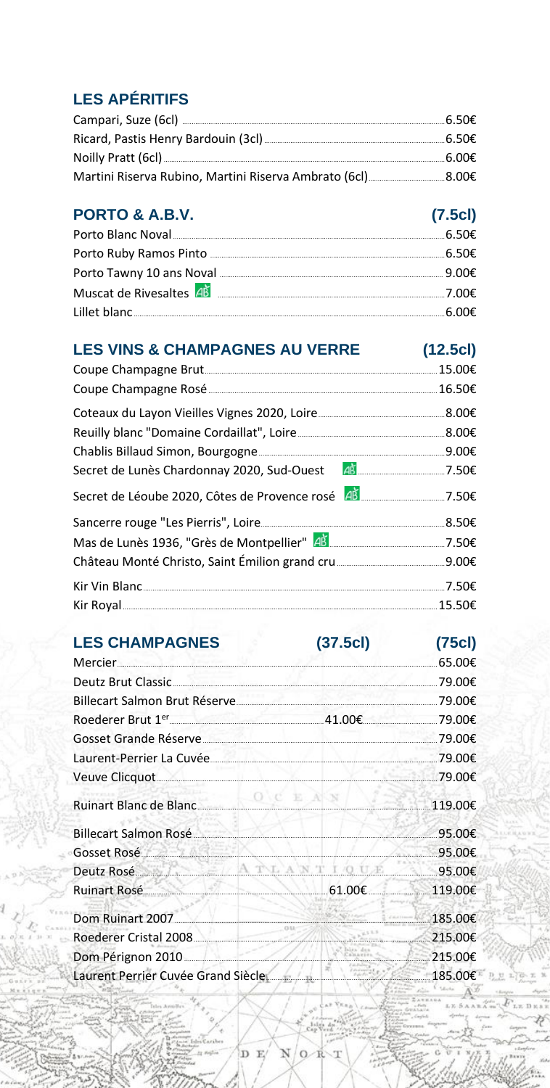# **LES APÉRITIFS**

# PORTO & A.B.V.

| PORTO & A.B.V.                                                                                                                                                                                                                         | (7.5c) |
|----------------------------------------------------------------------------------------------------------------------------------------------------------------------------------------------------------------------------------------|--------|
|                                                                                                                                                                                                                                        |        |
|                                                                                                                                                                                                                                        |        |
|                                                                                                                                                                                                                                        |        |
| Muscat de Rivesaltes <sup>  4 Manus   4 Manus   4 Manus   4 Manus   4 Manus   4 Manus   4 Manus   4 Manus   4 Manus   4 Manus   4 Manus   4 Manus   4 Manus   4 Manus   4 Manus   4 Manus   4 Manus   4 Manus   4 Manus   4 Manu</sup> |        |
|                                                                                                                                                                                                                                        |        |

# LES VINS & CHAMPAGNES AU VERRE (12.5cl)

#### $(37.5c)$   $(75c)$ **LES CHAMPAGNES**

|                                                                  | .65.00€           |
|------------------------------------------------------------------|-------------------|
|                                                                  | 79.00€            |
| Billecart Salmon Brut Réserve                                    | .79.00€           |
| Roederer Brut $1^{\text{er}}$ 29.00€ 41.00€ 41.00€ 79.00€        |                   |
|                                                                  |                   |
| Laurent-Perrier La Cuvée (2000) 29.00€                           |                   |
|                                                                  |                   |
| Ruinart Blanc de Blanc<br>2006 - 119.00€                         |                   |
| Billecart Salmon Rosé                                            | .95.00€           |
| Gosset Rosé 2000 95.00€                                          |                   |
| Deutz Rosé 2000 95.00€                                           |                   |
| Ruinart Rosé 2000 a 119.00€                                      |                   |
| Dom Ruinart 2007. <b>Communication and Communication</b> 185.00€ |                   |
| Roederer Cristal 2008                                            | $215.00 \epsilon$ |
| Dom Pérignon 2010 215.00€                                        |                   |
| Laurent Perrier Cuvée Grand Siècle                               |                   |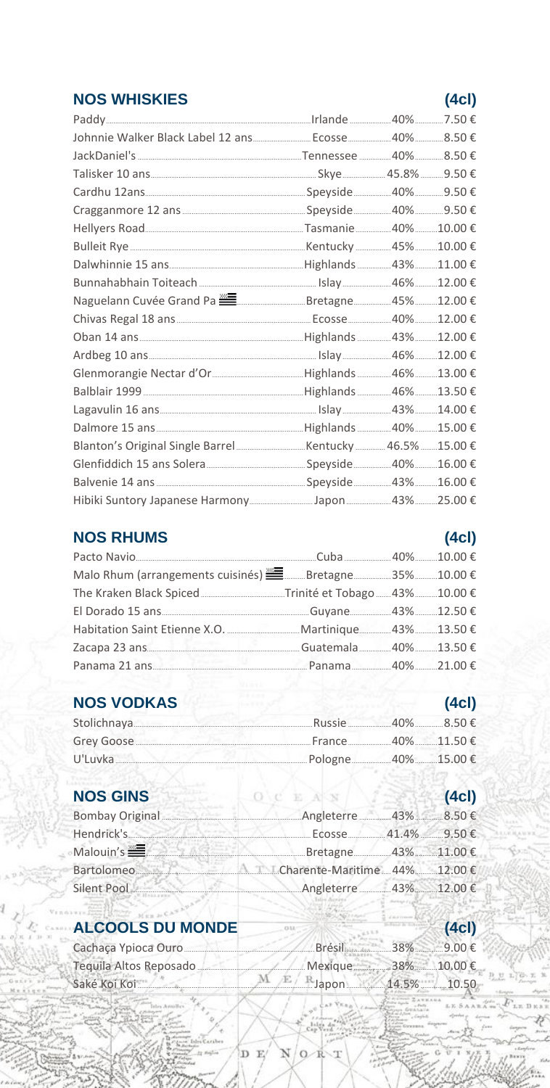### **NOS WHISKIES**

# $(4c)$

| Cardhu 12ans [123] Cardhu 12ans [12] Cardhu 12ans [12] Cardhu 12ans [12] Cardhu 12ans [12] Cardhu 12ans [12] C |  |  |
|----------------------------------------------------------------------------------------------------------------|--|--|
|                                                                                                                |  |  |
|                                                                                                                |  |  |
|                                                                                                                |  |  |
|                                                                                                                |  |  |
|                                                                                                                |  |  |
| Naguelann Cuvée Grand Pa <sup>22</sup> 2000 Different Bretagne 25% 2000 E                                      |  |  |
|                                                                                                                |  |  |
|                                                                                                                |  |  |
|                                                                                                                |  |  |
|                                                                                                                |  |  |
|                                                                                                                |  |  |
|                                                                                                                |  |  |
|                                                                                                                |  |  |
|                                                                                                                |  |  |
|                                                                                                                |  |  |
|                                                                                                                |  |  |
|                                                                                                                |  |  |

### **NOS RHUMS**

# $(4c)$

| Zacapa 23 ans 13.50 €             |  |  |
|-----------------------------------|--|--|
| Panama 21 ans 2000 Panama 21.00 € |  |  |
|                                   |  |  |

# NOS VODKAS

| <b>NOS VODKAS</b>  |                     | (4c) |
|--------------------|---------------------|------|
| Stolichnaya 8.50 € |                     |      |
|                    |                     |      |
|                    | Pologne 40% 15.00 € |      |

# **NOS GINS**

| <b>NOS GINS</b>                                                                                                                                                                                                                      | $-0$ c $E$ $N$ $N$ $($ $\sim$ $\approx$ $\frac{3}{2}$    | (4c) |
|--------------------------------------------------------------------------------------------------------------------------------------------------------------------------------------------------------------------------------------|----------------------------------------------------------|------|
|                                                                                                                                                                                                                                      | Bombay Original 2000 Angleterre 2009 Angleterre 2009 43% |      |
| Hendrick's <b>Manual Action</b>                                                                                                                                                                                                      | Ecosse 41.4% 9.50€                                       |      |
| Malouin's <b>Exercise Communist Communist Communist Communist Communist Communist Communist Communist Communist Communist Communist Communist Communist Communist Communist Communist Communist Communist Communist Communist Co</b> | Bretagne 43% 11.00 €                                     |      |
|                                                                                                                                                                                                                                      | Bartolomeo Charente-Maritime 44% 12.00 €                 |      |
|                                                                                                                                                                                                                                      | Angleterre 43% 12.00 €                                   |      |

# **ALCOOLS DU MONDE**

| Cachaça Ypioca Ouro 2000 € Brésil 38% 38% 9.00 € |  |  |
|--------------------------------------------------|--|--|
|                                                  |  |  |
| Saké Koi Koi $M \nmid E / R$ Japon 14.5% 10.50   |  |  |

D<sub>E</sub>

 $(4c)$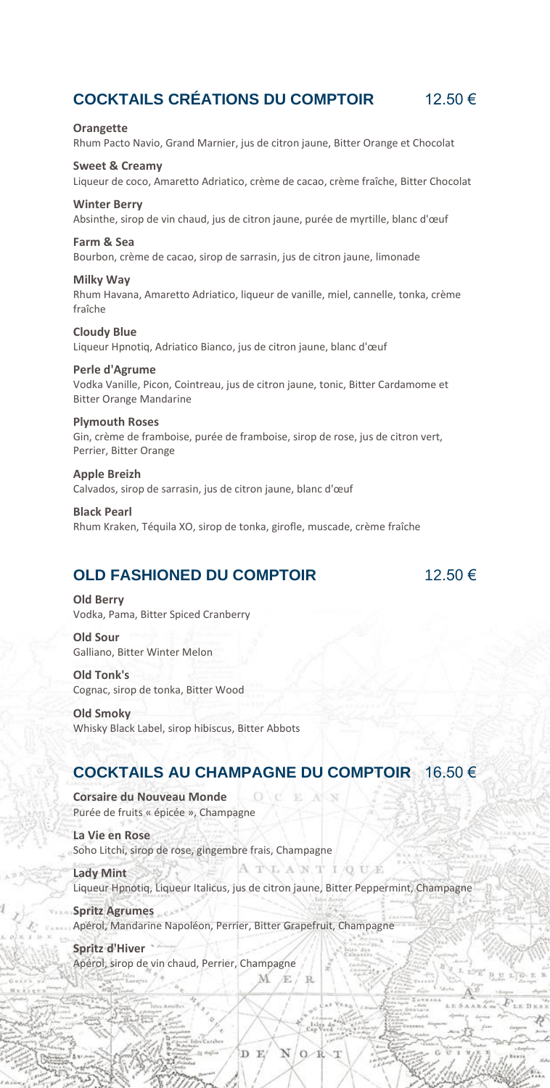### **COCKTAILS CRÉATIONS DU COMPTOIR** 12.50 €

**Orangette** Rhum Pacto Navio, Grand Marnier, jus de citron jaune, Bitter Orange et Chocolat

**Sweet & Creamy** Liqueur de coco, Amaretto Adriatico, crème de cacao, crème fraîche, Bitter Chocolat

### **Winter Berry**

Absinthe, sirop de vin chaud, jus de citron jaune, purée de myrtille, blanc d'œuf

#### **Farm & Sea**

Bourbon, crème de cacao, sirop de sarrasin, jus de citron jaune, limonade

**Milky Way** Rhum Havana, Amaretto Adriatico, liqueur de vanille, miel, cannelle, tonka, crème fraîche

**Cloudy Blue** Liqueur Hpnotiq, Adriatico Bianco, jus de citron jaune, blanc d'œuf

**Perle d'Agrume** Vodka Vanille, Picon, Cointreau, jus de citron jaune, tonic, Bitter Cardamome et Bitter Orange Mandarine

#### **Plymouth Roses**

Gin, crème de framboise, purée de framboise, sirop de rose, jus de citron vert, Perrier, Bitter Orange

**Apple Breizh** Calvados, sirop de sarrasin, jus de citron jaune, blanc d'œuf

**Black Pearl** Rhum Kraken, Téquila XO, sirop de tonka, girofle, muscade, crème fraîche

### **OLD FASHIONED DU COMPTOIR** 12.50 €

 $1.31 - 5$ 

 $x \in D$ 

**Old Berry** Vodka, Pama, Bitter Spiced Cranberry

**Old Sour** Galliano, Bitter Winter Melon

**Old Tonk's** Cognac, sirop de tonka, Bitter Wood

**Old Smoky** Whisky Black Label, sirop hibiscus, Bitter Abbots

### **COCKTAILS AU CHAMPAGNE DU COMPTOIR** 16.50 €

 $\circ$ 

**Corsaire du Nouveau Monde** Purée de fruits « épicée », Champagne

**La Vie en Rose** Soho Litchi, sirop de rose, gingembre frais, Champagne

A TLANT IQUE **Lady Mint** Liqueur Hpnotiq, Liqueur Italicus, jus de citron jaune, Bitter Peppermint, Champagne

**Spritz Agrumes** Apérol, Mandarine Napoléon, Perrier, Bitter Grapefruit, Champagne

D E

 $\Omega$ 

**Spritz d'Hiver** Apérol, sirop de vin chaud, Perrier, ChampagneÉ R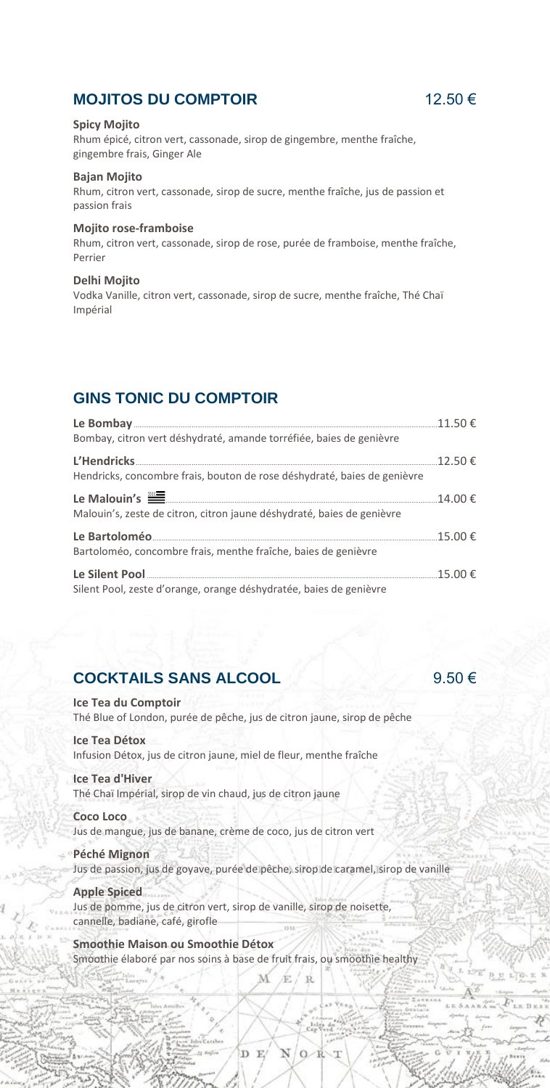### **MOJITOS DU COMPTOIR** 12.50 €

#### **Spicy Mojito**

Rhum épicé, citron vert, cassonade, sirop de gingembre, menthe fraîche, gingembre frais, Ginger Ale

#### **Bajan Mojito**

Rhum, citron vert, cassonade, sirop de sucre, menthe fraîche, jus de passion et passion frais

#### **Mojito rose-framboise**

Rhum, citron vert, cassonade, sirop de rose, purée de framboise, menthe fraîche, Perrier

#### **Delhi Mojito**

Vodka Vanille, citron vert, cassonade, sirop de sucre, menthe fraîche, Thé Chaï Impérial

### **GINS TONIC DU COMPTOIR**

| Bombay, citron vert déshydraté, amande torréfiée, baies de genièvre      |  |
|--------------------------------------------------------------------------|--|
|                                                                          |  |
| Hendricks, concombre frais, bouton de rose déshydraté, baies de genièvre |  |
|                                                                          |  |
| Malouin's, zeste de citron, citron jaune déshydraté, baies de genièvre   |  |
|                                                                          |  |
| Bartoloméo, concombre frais, menthe fraîche, baies de genièvre           |  |
|                                                                          |  |
| Silent Pool, zeste d'orange, orange déshydratée, baies de genièvre       |  |

### **COCKTAILS SANS ALCOOL** 9.50 €

**Ice Tea du Comptoir** Thé Blue of London, purée de pêche, jus de citron jaune, sirop de pêche **Ice Tea Détox** Infusion Détox, jus de citron jaune, miel de fleur, menthe fraîche

#### **Ice Tea d'Hiver**

Thé Chaï Impérial, sirop de vin chaud, jus de citron jaune

#### **Coco Loco**

Jus de mangue, jus de banane, crème de coco, jus de citron vert

#### **Péché Mignon**

Jus de passion, jus de goyave, purée de pêche, sirop de caramel, sirop de vanille

#### **Apple Spiced**

Jus de pomme, jus de citron vert, sirop de vanille, sirop de noisette, cannelle, badiane, café, girofle

**Smoothie Maison ou Smoothie Détox** Smoothie élaboré par nos soins à base de fruit frais, ou smoothie healthy

D E

É  $R$ 

 $\Omega$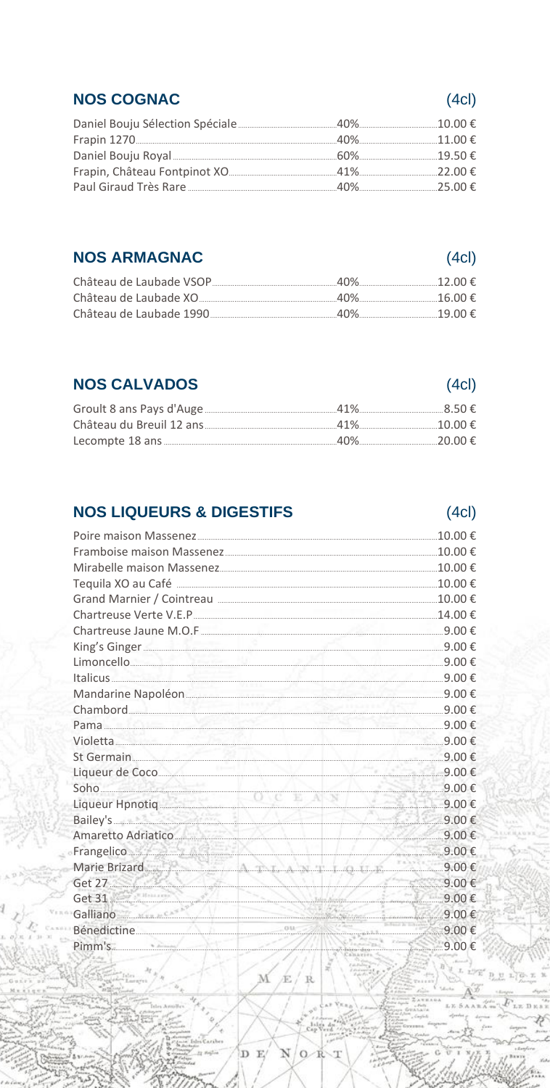### **NOS COGNAC**

# **NOS ARMAGNAC**

| 40% | $\begin{array}{c}\n19.00 \in\n\end{array}$ |
|-----|--------------------------------------------|

# **NOS CALVADOS**

| <b>NOS CALVADOS</b> | (4c) |
|---------------------|------|
|                     |      |
|                     |      |
|                     |      |

# **NOS LIQUEURS & DIGESTIFS**

| King's Ginger 2000 €                                                                                                                                                                                                                |                                       |
|-------------------------------------------------------------------------------------------------------------------------------------------------------------------------------------------------------------------------------------|---------------------------------------|
| Limoncello 9.00 €                                                                                                                                                                                                                   |                                       |
| Italicus 9.00 €                                                                                                                                                                                                                     |                                       |
|                                                                                                                                                                                                                                     |                                       |
| Chambord 9.00 €                                                                                                                                                                                                                     |                                       |
| Pama $9.00 \in$                                                                                                                                                                                                                     |                                       |
| Violetta $9.00\in$                                                                                                                                                                                                                  |                                       |
| St Germain 9.00 €                                                                                                                                                                                                                   |                                       |
|                                                                                                                                                                                                                                     |                                       |
| Soho $\frac{9.00 \text{ €}}{0.00 \text{ €}}$                                                                                                                                                                                        |                                       |
| Liqueur Hpnotiq <u>(a)</u> 9.00 €                                                                                                                                                                                                   |                                       |
| Bailey's 9.00 €                                                                                                                                                                                                                     |                                       |
| Amaretto Adriatico 9.00€                                                                                                                                                                                                            |                                       |
| Frangelico <u>Maria Baratti di Statistico di Statistico di Statistico di Statistico di Statistico di Statistico di Statistico di Statistico di Statistico di Statistico di Statistico di Statistico di Statistico di Statistico</u> |                                       |
| Marie Brizard 9.00 €                                                                                                                                                                                                                |                                       |
| Get 27 9.00 $\epsilon$                                                                                                                                                                                                              |                                       |
| Get 31 9.00 $\epsilon$<br>Galliano 9.00 $\epsilon$                                                                                                                                                                                  |                                       |
|                                                                                                                                                                                                                                     |                                       |
| Bénedictine 9.00 €                                                                                                                                                                                                                  |                                       |
| Pimm's 9.00 €                                                                                                                                                                                                                       |                                       |
|                                                                                                                                                                                                                                     | $\mathbb{R} \times \mathbb{R}$ . Then |
| M/k/R                                                                                                                                                                                                                               |                                       |
|                                                                                                                                                                                                                                     |                                       |

D E

 $(4c)$ 

# $(4c)$

# $(4c)$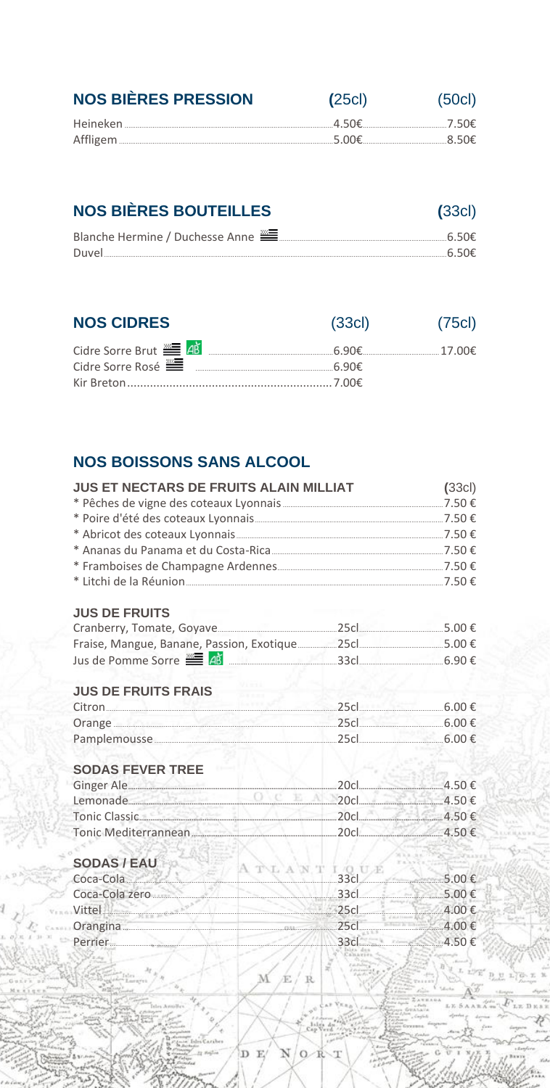| <b>NOS BIÈRES PRESSION</b> | (25c) | (50c) |
|----------------------------|-------|-------|
|                            |       |       |
|                            |       |       |
|                            |       |       |

# **NOS BIÈRES BOUTEILLES**

| Duvel. |  |
|--------|--|

 $(33c)$ 

| <b>NOS CIDRES</b>                      | (33c)   | (75c) |
|----------------------------------------|---------|-------|
| Cidre Sorre Brut <b>E 4</b> B          |         |       |
| Cidre Sorre Rosé <b>EL ENCORRETAIN</b> | − 6 90€ |       |
|                                        |         |       |

# **NOS BOISSONS SANS ALCOOL**

| <b>JUS ET NECTARS DE FRUITS ALAIN MILLIAT</b>                    |    | (33c) |
|------------------------------------------------------------------|----|-------|
|                                                                  |    |       |
|                                                                  |    |       |
|                                                                  |    |       |
|                                                                  |    |       |
|                                                                  |    |       |
|                                                                  |    |       |
| <b>JUS DE FRUITS</b>                                             |    |       |
|                                                                  |    |       |
|                                                                  |    |       |
|                                                                  |    |       |
| <b>JUS DE FRUITS FRAIS</b>                                       |    |       |
| $\text{Citron} \quad \text{6.00} \in \text{6.00}$                |    |       |
| Orange 5.00 €                                                    |    |       |
|                                                                  |    |       |
| <b>SODAS FEVER TREE</b>                                          |    |       |
|                                                                  |    |       |
| 20c                                                              |    |       |
|                                                                  |    |       |
|                                                                  |    |       |
| SODAS / EAU<br>SUDAS / EAU $A T L A N T 130 U E$<br>$33c$ 5.00 € |    |       |
|                                                                  |    |       |
| Coca-Cola zero 5.00 €                                            |    |       |
| Vittel 4.00 €                                                    |    |       |
| Orangina 4.00 €                                                  |    |       |
| Perrier 4.50 $\epsilon$                                          |    |       |
|                                                                  |    |       |
| $\mathbf{M}$                                                     | Æ. |       |
|                                                                  |    |       |
|                                                                  |    |       |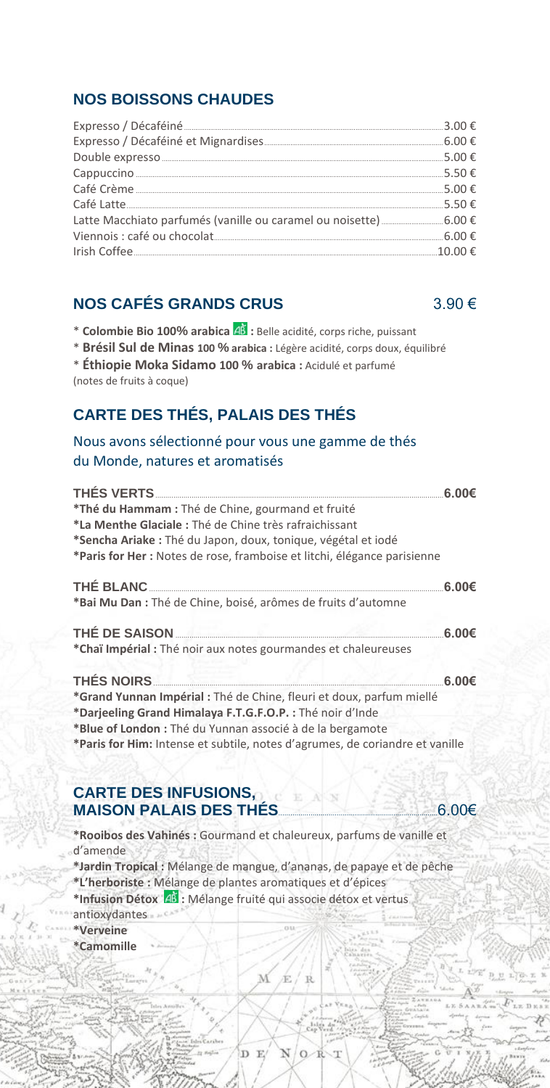### **NOS BOISSONS CHAUDES**

| Expresso / Décaféiné <b>Manual Manual Manual Manual Manual Manual</b> 3.00 € |  |
|------------------------------------------------------------------------------|--|
|                                                                              |  |
|                                                                              |  |
|                                                                              |  |
|                                                                              |  |
|                                                                              |  |
|                                                                              |  |
|                                                                              |  |
|                                                                              |  |

### **NOS CAFÉS GRANDS CRUS** 3.90 €

- \* **Colombie Bio 100% arabica :** Belle acidité, corps riche, puissant
- \* **Brésil Sul de Minas 100 % arabica :** Légère acidité, corps doux, équilibré

# **CARTE DES THÉS, PALAIS DES THÉS**

### Nous avons sélectionné pour vous une gamme de thés du Monde, natures et aromatisés

| *Thé du Hammam : Thé de Chine, gourmand et fruité                        |                    |
|--------------------------------------------------------------------------|--------------------|
| *La Menthe Glaciale: Thé de Chine très rafraichissant                    |                    |
| *Sencha Ariake : Thé du Japon, doux, tonique, végétal et iodé            |                    |
| *Paris for Her : Notes de rose, framboise et litchi, élégance parisienne |                    |
|                                                                          | 6.00 <sub>ε</sub>  |
| *Bai Mu Dan : Thé de Chine, boisé, arômes de fruits d'automne            |                    |
| THÉ DE SAISON                                                            | .6.00 <sub>ε</sub> |
| *Chaï Impérial : Thé noir aux notes gourmandes et chaleureuses           |                    |
| <b>THÉS NOIRS</b> _________<br><u> 1999 - Anna Louis Maria Alemania</u>  | .6.00 <sub>€</sub> |
| *Grand Yunnan Impérial : Thé de Chine, fleuri et doux, parfum miellé     |                    |
| *Darjeeling Grand Himalaya F.T.G.F.O.P. : Thé noir d'Inde                |                    |

**\*Blue of London :** Thé du Yunnan associé à de la bergamote

**\*Paris for Him:** Intense et subtile, notes d'agrumes, de coriandre et vanille

### **CARTE DES INFUSIONS, MAISON PALAIS DES THÉS**...............................................................................6.00€

- **\*Rooibos des Vahinés :** Gourmand et chaleureux, parfums de vanille et d'amende
- **\*Jardin Tropical :** Mélange de mangue, d'ananas, de papaye et de pêche **\*L'herboriste :** Mélange de plantes aromatiques et d'épices

R

**\*Infusion Détox :** Mélange fruité qui associe détox et vertus

D E

- antioxydantes
- **\*Verveine**
- **\*Camomille**

<sup>\*</sup> **Éthiopie Moka Sidamo 100 % arabica :** Acidulé et parfumé (notes de fruits à coque)